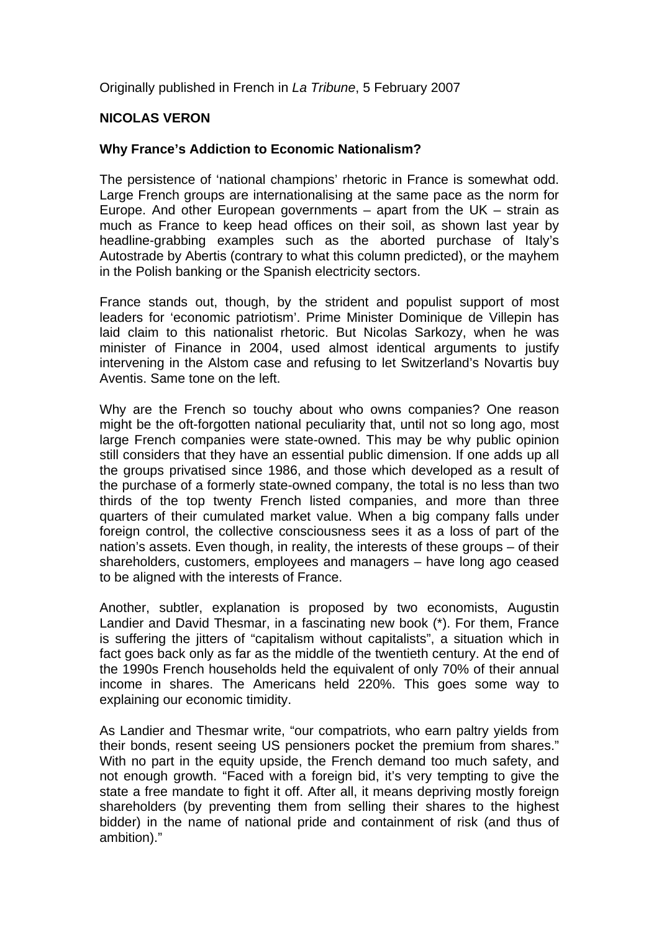Originally published in French in *La Tribune*, 5 February 2007

## **NICOLAS VERON**

## **Why France's Addiction to Economic Nationalism?**

The persistence of 'national champions' rhetoric in France is somewhat odd. Large French groups are internationalising at the same pace as the norm for Europe. And other European governments – apart from the UK – strain as much as France to keep head offices on their soil, as shown last year by headline-grabbing examples such as the aborted purchase of Italy's Autostrade by Abertis (contrary to what this column predicted), or the mayhem in the Polish banking or the Spanish electricity sectors.

France stands out, though, by the strident and populist support of most leaders for 'economic patriotism'. Prime Minister Dominique de Villepin has laid claim to this nationalist rhetoric. But Nicolas Sarkozy, when he was minister of Finance in 2004, used almost identical arguments to justify intervening in the Alstom case and refusing to let Switzerland's Novartis buy Aventis. Same tone on the left.

Why are the French so touchy about who owns companies? One reason might be the oft-forgotten national peculiarity that, until not so long ago, most large French companies were state-owned. This may be why public opinion still considers that they have an essential public dimension. If one adds up all the groups privatised since 1986, and those which developed as a result of the purchase of a formerly state-owned company, the total is no less than two thirds of the top twenty French listed companies, and more than three quarters of their cumulated market value. When a big company falls under foreign control, the collective consciousness sees it as a loss of part of the nation's assets. Even though, in reality, the interests of these groups – of their shareholders, customers, employees and managers – have long ago ceased to be aligned with the interests of France.

Another, subtler, explanation is proposed by two economists, Augustin Landier and David Thesmar, in a fascinating new book (\*). For them, France is suffering the jitters of "capitalism without capitalists", a situation which in fact goes back only as far as the middle of the twentieth century. At the end of the 1990s French households held the equivalent of only 70% of their annual income in shares. The Americans held 220%. This goes some way to explaining our economic timidity.

As Landier and Thesmar write, "our compatriots, who earn paltry yields from their bonds, resent seeing US pensioners pocket the premium from shares." With no part in the equity upside, the French demand too much safety, and not enough growth. "Faced with a foreign bid, it's very tempting to give the state a free mandate to fight it off. After all, it means depriving mostly foreign shareholders (by preventing them from selling their shares to the highest bidder) in the name of national pride and containment of risk (and thus of ambition)."